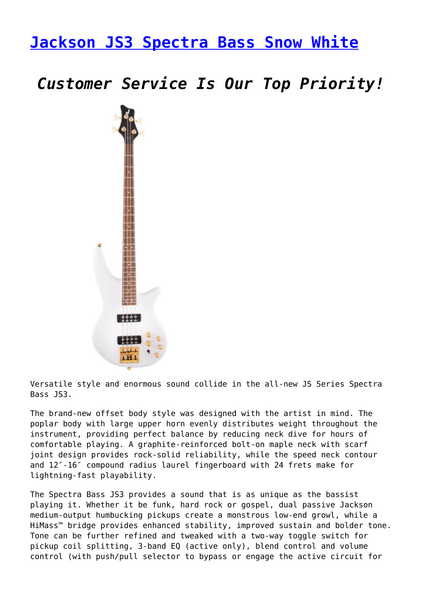## **[Jackson JS3 Spectra Bass Snow White](https://www.promusicalaska.com/store/guitars/bass-guitars/jackson-js3-spectra-bass-snow-white/)**

*Customer Service Is Our Top Priority!*



Versatile style and enormous sound collide in the all-new JS Series Spectra Bass JS3.

The brand-new offset body style was designed with the artist in mind. The poplar body with large upper horn evenly distributes weight throughout the instrument, providing perfect balance by reducing neck dive for hours of comfortable playing. A graphite-reinforced bolt-on maple neck with scarf joint design provides rock-solid reliability, while the speed neck contour and 12″-16″ compound radius laurel fingerboard with 24 frets make for lightning-fast playability.

The Spectra Bass JS3 provides a sound that is as unique as the bassist playing it. Whether it be funk, hard rock or gospel, dual passive Jackson medium-output humbucking pickups create a monstrous low-end growl, while a HiMass™ bridge provides enhanced stability, improved sustain and bolder tone. Tone can be further refined and tweaked with a two-way toggle switch for pickup coil splitting, 3-band EQ (active only), blend control and volume control (with push/pull selector to bypass or engage the active circuit for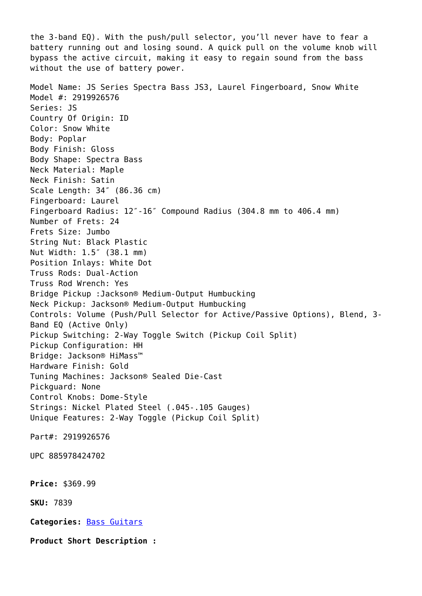the 3-band EQ). With the push/pull selector, you'll never have to fear a battery running out and losing sound. A quick pull on the volume knob will bypass the active circuit, making it easy to regain sound from the bass without the use of battery power. Model Name: JS Series Spectra Bass JS3, Laurel Fingerboard, Snow White Model #: 2919926576 Series: JS Country Of Origin: ID Color: Snow White Body: Poplar Body Finish: Gloss Body Shape: Spectra Bass Neck Material: Maple Neck Finish: Satin Scale Length: 34″ (86.36 cm) Fingerboard: Laurel Fingerboard Radius: 12″-16″ Compound Radius (304.8 mm to 406.4 mm) Number of Frets: 24 Frets Size: Jumbo String Nut: Black Plastic Nut Width: 1.5″ (38.1 mm) Position Inlays: White Dot Truss Rods: Dual-Action Truss Rod Wrench: Yes Bridge Pickup :Jackson® Medium-Output Humbucking Neck Pickup: Jackson® Medium-Output Humbucking Controls: Volume (Push/Pull Selector for Active/Passive Options), Blend, 3- Band EQ (Active Only) Pickup Switching: 2-Way Toggle Switch (Pickup Coil Split) Pickup Configuration: HH Bridge: Jackson® HiMass™ Hardware Finish: Gold Tuning Machines: Jackson® Sealed Die-Cast Pickguard: None Control Knobs: Dome-Style Strings: Nickel Plated Steel (.045-.105 Gauges) Unique Features: 2-Way Toggle (Pickup Coil Split) Part#: 2919926576 UPC 885978424702 **Price:** \$369.99 **SKU:** 7839 **Categories:** [Bass Guitars](https://www.promusicalaska.com/product-category/guitars/bass-guitars/) **Product Short Description :**